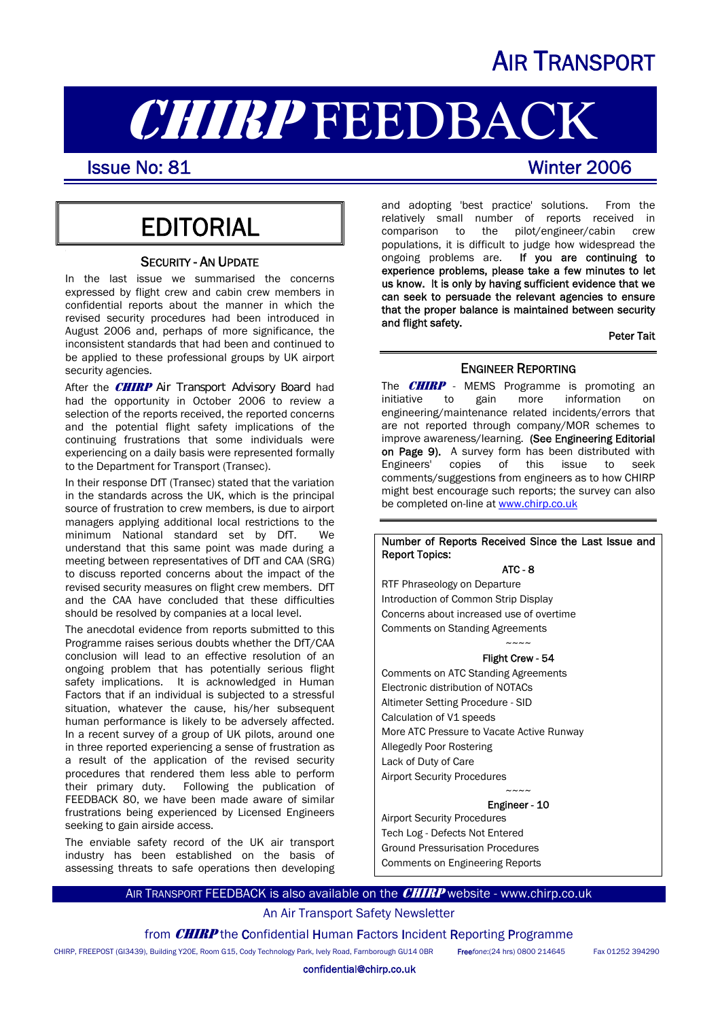## AIR TRANSPORT

# **CHIRP FEEDBACK**<br>Issue No: 81

I

## **EDITORIAL**

#### SECURITY - AN UPDATE

In the last issue we summarised the concerns expressed by flight crew and cabin crew members in confidential reports about the manner in which the revised security procedures had been introduced in August 2006 and, perhaps of more significance, the inconsistent standards that had been and continued to be applied to these professional groups by UK airport security agencies.

After the **CHIRP** Air Transport Advisory Board had had the opportunity in October 2006 to review a selection of the reports received, the reported concerns and the potential flight safety implications of the continuing frustrations that some individuals were experiencing on a daily basis were represented formally to the Department for Transport (Transec).

In their response DfT (Transec) stated that the variation in the standards across the UK, which is the principal source of frustration to crew members, is due to airport managers applying additional local restrictions to the minimum National standard set by DfT. We understand that this same point was made during a meeting between representatives of DfT and CAA (SRG) to discuss reported concerns about the impact of the revised security measures on flight crew members. DfT and the CAA have concluded that these difficulties should be resolved by companies at a local level.

The anecdotal evidence from reports submitted to this Programme raises serious doubts whether the DfT/CAA conclusion will lead to an effective resolution of an ongoing problem that has potentially serious flight safety implications. It is acknowledged in Human Factors that if an individual is subjected to a stressful situation, whatever the cause, his/her subsequent human performance is likely to be adversely affected. In a recent survey of a group of UK pilots, around one in three reported experiencing a sense of frustration as a result of the application of the revised security procedures that rendered them less able to perform their primary duty. Following the publication of FEEDBACK 80, we have been made aware of similar frustrations being experienced by Licensed Engineers seeking to gain airside access.

The enviable safety record of the UK air transport industry has been established on the basis of assessing threats to safe operations then developing

and adopting 'best practice' solutions. From the relatively small number of reports received in<br>comparison to the pilot/engineer/cabin crew pilot/engineer/cabin crew populations, it is difficult to judge how widespread the ongoing problems are. If you are continuing to experience problems, please take a few minutes to let us know. It is only by having sufficient evidence that we can seek to persuade the relevant agencies to ensure that the proper balance is maintained between security and flight safety.

Peter Tait

#### ENGINEER REPORTING

The  $CHIRP$  - MEMS Programme is promoting an initiative to gain more information on engineering/maintenance related incidents/errors that are not reported through company/MOR schemes to improve awareness/learning. (See Engineering Editorial on Page 9). A survey form has been distributed with Engineers' copies of this issue to seek comments/suggestions from engineers as to how CHIRP might best encourage such reports; the survey can also be completed on-line at [www.chirp.co.uk](http://www.chirp.co.uk/)

#### Number of Reports Received Since the Last Issue and Report Topics:

#### $ATC - R$

RTF Phraseology on Departure Introduction of Common Strip Display Concerns about increased use of overtime Comments on Standing Agreements  $\sim\sim\sim\sim$ 

#### Flight Crew - 54

Comments on ATC Standing Agreements Electronic distribution of NOTACs Altimeter Setting Procedure - SID Calculation of V1 speeds More ATC Pressure to Vacate Active Runway Allegedly Poor Rostering Lack of Duty of Care Airport Security Procedures

#### $\sim\sim\sim\sim$ Engineer - 10

Airport Security Procedures Tech Log - Defects Not Entered Ground Pressurisation Procedures Comments on Engineering Reports

#### AIR TRANSPORT FEEDBACK is also available on the **CHIRP** website - www.chirp.co.uk

#### An Air Transport Safety Newsletter

from **CHIRP** the Confidential Human Factors Incident Reporting Programme

CHIRP, FREEPOST (GI3439), Building Y20E, Room G15, Cody Technology Park, Ively Road, Farnborough GU14 0BR Free*fone*:(24 hrs) 0800 214645 Fax 01252 394290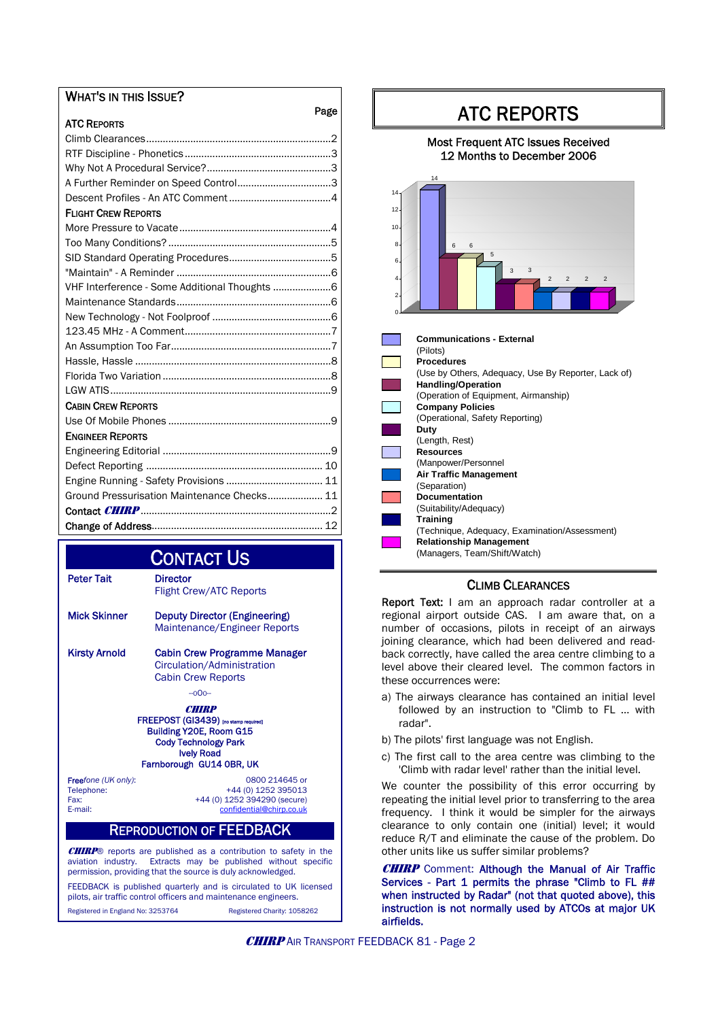#### WHAT'S IN THIS ISSUE?

| Page                                           |
|------------------------------------------------|
| <b>ATC REPORTS</b>                             |
|                                                |
|                                                |
|                                                |
|                                                |
|                                                |
| <b>FLIGHT CREW REPORTS</b>                     |
|                                                |
|                                                |
|                                                |
|                                                |
| VHF Interference - Some Additional Thoughts  6 |
|                                                |
|                                                |
|                                                |
|                                                |
|                                                |
|                                                |
|                                                |
| <b>CABIN CREW REPORTS</b>                      |
|                                                |
| <b>ENGINEER REPORTS</b>                        |
|                                                |
|                                                |
| Engine Running - Safety Provisions  11         |
| Ground Pressurisation Maintenance Checks 11    |
|                                                |
|                                                |

# **CONTACT US**<br>Peter Tait Director

| Peter Tait   | <b>Director</b><br><b>Flight Crew/ATC Reports</b> |
|--------------|---------------------------------------------------|
| Mick Skinner | <b>Deputy Director (Engineering)</b>              |

 Maintenance/Engineer Reports Kirsty Arnold Cabin Crew Programme Manager

 Circulation/Administration Cabin Crew Reports  $-00<sub>2</sub>$ 

**CHIRP** FREEPOST (GI3439) [no st Building Y20E, Room G15 Cody Technology Park Ively Road Farnborough GU14 0BR, UK

**Free**fone (UK only): 0800 214645 or<br>
Telephone: +44 (0) 1252 395013 Telephone: +44 (0) 1252 395013 Fax: +44 (0) 1252 394290 (secure)<br>E-mail: confidential@chirp.co.uk [confidential@chirp.co.uk](mailto:confidential@chirp.co.uk)

#### REPRODUCTION OF FEEDBACK

**CHIRP**® reports are published as a contribution to safety in the aviation industry. Extracts may be published without specific permission, providing that the source is duly acknowledged.

FEEDBACK is published quarterly and is circulated to UK licensed pilots, air traffic control officers and maintenance engineers.

Registered in England No: 3253764 Registered Charity: 1058262

## ATC REPORTS

#### Most Frequent ATC Issues Received 12 Months to December 2006



| <b>Communications - External</b>                    |
|-----------------------------------------------------|
| (Pilots)                                            |
| <b>Procedures</b>                                   |
| (Use by Others, Adequacy, Use By Reporter, Lack of) |
| <b>Handling/Operation</b>                           |
| (Operation of Equipment, Airmanship)                |
| <b>Company Policies</b>                             |
| (Operational, Safety Reporting)                     |
| Duty                                                |
| (Length, Rest)                                      |
| <b>Resources</b>                                    |
| (Manpower/Personnel                                 |
| <b>Air Traffic Management</b>                       |
| (Separation)                                        |
| <b>Documentation</b>                                |
| (Suitability/Adequacy)                              |
| <b>Training</b>                                     |
| (Technique, Adequacy, Examination/Assessment)       |
| <b>Relationship Management</b>                      |
| (Managers, Team/Shift/Watch)                        |
|                                                     |

#### CLIMB CLEARANCES

Report Text: I am an approach radar controller at a regional airport outside CAS. I am aware that, on a number of occasions, pilots in receipt of an airways joining clearance, which had been delivered and readback correctly, have called the area centre climbing to a level above their cleared level. The common factors in these occurrences were:

- a) The airways clearance has contained an initial level followed by an instruction to "Climb to FL … with radar".
- b) The pilots' first language was not English.
- c) The first call to the area centre was climbing to the 'Climb with radar level' rather than the initial level.

We counter the possibility of this error occurring by repeating the initial level prior to transferring to the area frequency. I think it would be simpler for the airways clearance to only contain one (initial) level; it would reduce R/T and eliminate the cause of the problem. Do other units like us suffer similar problems?

**CHIRP** Comment: Although the Manual of Air Traffic Services - Part 1 permits the phrase "Climb to FL ## when instructed by Radar" (not that quoted above), this instruction is not normally used by ATCOs at major UK airfields.

**CHIRP** AIR TRANSPORT FEEDBACK 81 - Page 2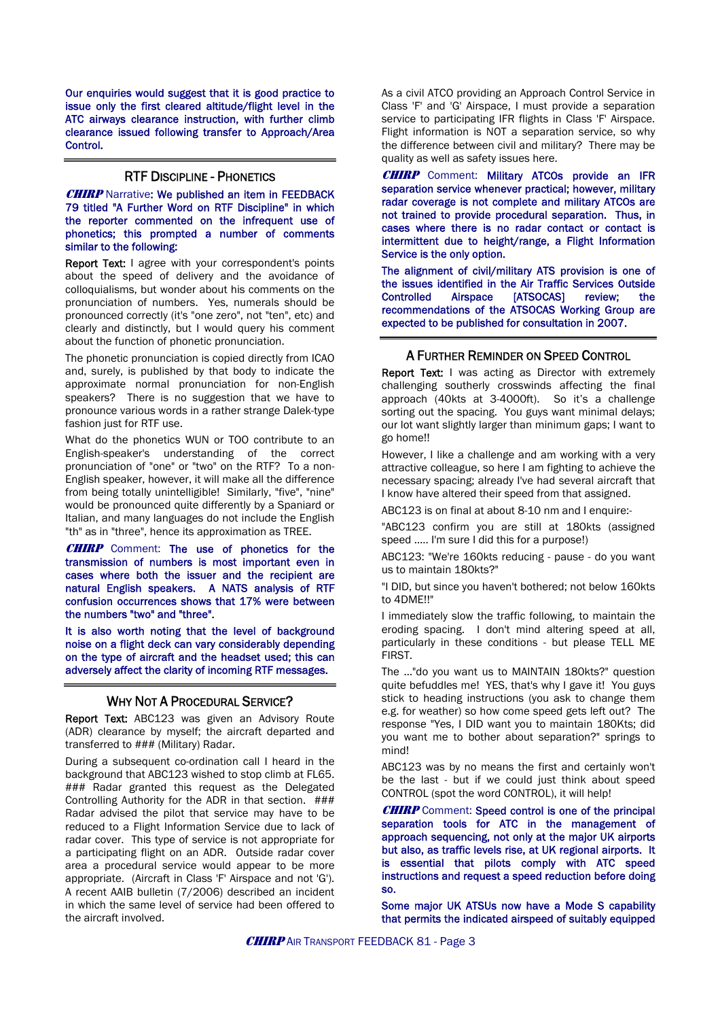Our enquiries would suggest that it is good practice to issue only the first cleared altitude/flight level in the ATC airways clearance instruction, with further climb clearance issued following transfer to Approach/Area Control.

#### RTF DISCIPLINE - PHONETICS

**CHIRP** Narrative: We published an item in FEEDBACK 79 titled "A Further Word on RTF Discipline" in which the reporter commented on the infrequent use of phonetics; this prompted a number of comments similar to the following:

Report Text: I agree with your correspondent's points about the speed of delivery and the avoidance of colloquialisms, but wonder about his comments on the pronunciation of numbers. Yes, numerals should be pronounced correctly (it's "one zero", not "ten", etc) and clearly and distinctly, but I would query his comment about the function of phonetic pronunciation.

The phonetic pronunciation is copied directly from ICAO and, surely, is published by that body to indicate the approximate normal pronunciation for non-English speakers? There is no suggestion that we have to pronounce various words in a rather strange Dalek-type fashion just for RTF use.

What do the phonetics WUN or TOO contribute to an English-speaker's understanding of the correct pronunciation of "one" or "two" on the RTF? To a non-English speaker, however, it will make all the difference from being totally unintelligible! Similarly, "five", "nine" would be pronounced quite differently by a Spaniard or Italian, and many languages do not include the English "th" as in "three", hence its approximation as TREE.

**CHIRP** Comment: The use of phonetics for the transmission of numbers is most important even in cases where both the issuer and the recipient are natural English speakers. A NATS analysis of RTF confusion occurrences shows that 17% were between the numbers "two" and "three".

It is also worth noting that the level of background noise on a flight deck can vary considerably depending on the type of aircraft and the headset used; this can adversely affect the clarity of incoming RTF messages.

#### WHY NOT A PROCEDURAL SERVICE?

Report Text: ABC123 was given an Advisory Route (ADR) clearance by myself; the aircraft departed and transferred to ### (Military) Radar.

During a subsequent co-ordination call I heard in the background that ABC123 wished to stop climb at FL65. ### Radar granted this request as the Delegated Controlling Authority for the ADR in that section. ### Radar advised the pilot that service may have to be reduced to a Flight Information Service due to lack of radar cover. This type of service is not appropriate for a participating flight on an ADR. Outside radar cover area a procedural service would appear to be more appropriate. (Aircraft in Class 'F' Airspace and not 'G'). A recent AAIB bulletin (7/2006) described an incident in which the same level of service had been offered to the aircraft involved.

As a civil ATCO providing an Approach Control Service in Class 'F' and 'G' Airspace, I must provide a separation service to participating IFR flights in Class 'F' Airspace. Flight information is NOT a separation service, so why the difference between civil and military? There may be quality as well as safety issues here.

CHIRP Comment: Military ATCOs provide an IFR separation service whenever practical; however, military radar coverage is not complete and military ATCOs are not trained to provide procedural separation. Thus, in cases where there is no radar contact or contact is intermittent due to height/range, a Flight Information Service is the only option.

The alignment of civil/military ATS provision is one of the issues identified in the Air Traffic Services Outside Controlled Airspace [ATSOCAS] review; the recommendations of the ATSOCAS Working Group are expected to be published for consultation in 2007.

#### A FURTHER REMINDER ON SPEED CONTROL

**Report Text:** I was acting as Director with extremely challenging southerly crosswinds affecting the final approach (40kts at 3-4000ft). So it's a challenge sorting out the spacing. You guys want minimal delays; our lot want slightly larger than minimum gaps; I want to go home!!

However, I like a challenge and am working with a very attractive colleague, so here I am fighting to achieve the necessary spacing; already I've had several aircraft that I know have altered their speed from that assigned.

ABC123 is on final at about 8-10 nm and I enquire:-

"ABC123 confirm you are still at 180kts (assigned speed ….. I'm sure I did this for a purpose!)

ABC123: "We're 160kts reducing - pause - do you want us to maintain 180kts?"

"I DID, but since you haven't bothered; not below 160kts to 4DME!!"

I immediately slow the traffic following, to maintain the eroding spacing. I don't mind altering speed at all, particularly in these conditions - but please TELL ME FIRST.

The …"do you want us to MAINTAIN 180kts?" question quite befuddles me! YES, that's why I gave it! You guys stick to heading instructions (you ask to change them e.g. for weather) so how come speed gets left out? The response "Yes, I DID want you to maintain 180Kts; did you want me to bother about separation?" springs to mind!

ABC123 was by no means the first and certainly won't be the last - but if we could just think about speed CONTROL (spot the word CONTROL), it will help!

**CHIRP** Comment: Speed control is one of the principal separation tools for ATC in the management of approach sequencing, not only at the major UK airports but also, as traffic levels rise, at UK regional airports. It is essential that pilots comply with ATC speed instructions and request a speed reduction before doing so.

Some major UK ATSUs now have a Mode S capability that permits the indicated airspeed of suitably equipped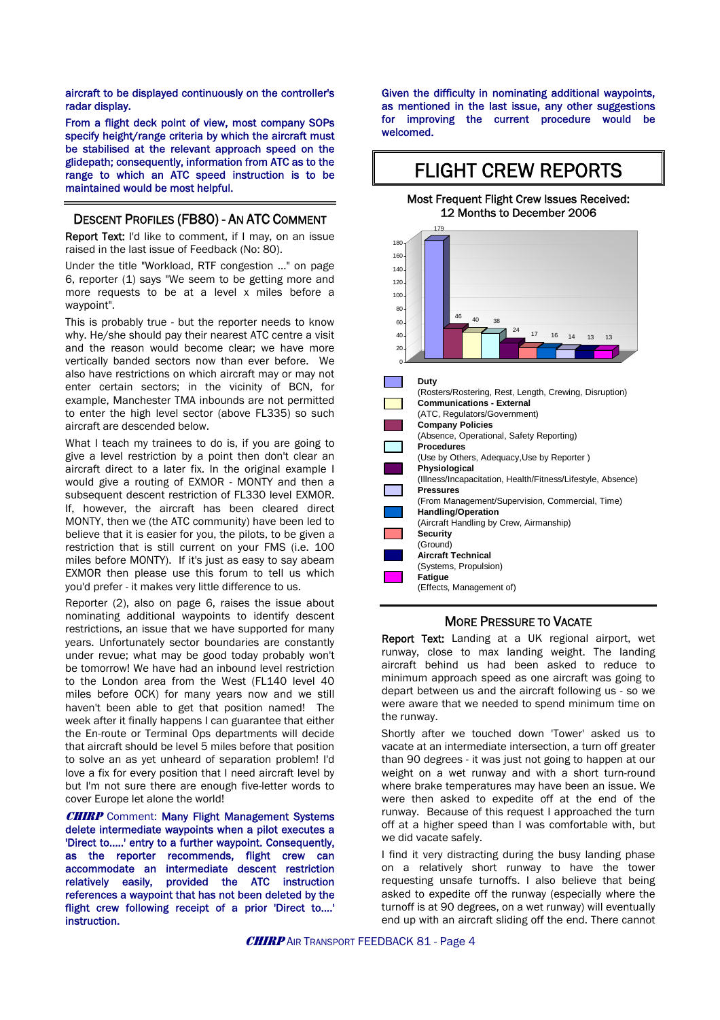aircraft to be displayed continuously on the controller's radar display.

From a flight deck point of view, most company SOPs specify height/range criteria by which the aircraft must be stabilised at the relevant approach speed on the glidepath; consequently, information from ATC as to the range to which an ATC speed instruction is to be maintained would be most helpful.

#### DESCENT PROFILES (FB80) - AN ATC COMMENT

Report Text: I'd like to comment, if I may, on an issue raised in the last issue of Feedback (No: 80).

Under the title "Workload, RTF congestion ..." on page 6, reporter (1) says "We seem to be getting more and more requests to be at a level x miles before a waypoint".

This is probably true - but the reporter needs to know why. He/she should pay their nearest ATC centre a visit and the reason would become clear; we have more vertically banded sectors now than ever before. We also have restrictions on which aircraft may or may not enter certain sectors; in the vicinity of BCN, for example, Manchester TMA inbounds are not permitted to enter the high level sector (above FL335) so such aircraft are descended below.

What I teach my trainees to do is, if you are going to give a level restriction by a point then don't clear an aircraft direct to a later fix. In the original example I would give a routing of EXMOR - MONTY and then a subsequent descent restriction of FL330 level EXMOR. If, however, the aircraft has been cleared direct MONTY, then we (the ATC community) have been led to believe that it is easier for you, the pilots, to be given a restriction that is still current on your FMS (i.e. 100 miles before MONTY). If it's just as easy to say abeam EXMOR then please use this forum to tell us which you'd prefer - it makes very little difference to us.

Reporter (2), also on page 6, raises the issue about nominating additional waypoints to identify descent restrictions, an issue that we have supported for many years. Unfortunately sector boundaries are constantly under revue; what may be good today probably won't be tomorrow! We have had an inbound level restriction to the London area from the West (FL140 level 40 miles before OCK) for many years now and we still haven't been able to get that position named! The week after it finally happens I can guarantee that either the En-route or Terminal Ops departments will decide that aircraft should be level 5 miles before that position to solve an as yet unheard of separation problem! I'd love a fix for every position that I need aircraft level by but I'm not sure there are enough five-letter words to cover Europe let alone the world!

**CHIRP** Comment: Many Flight Management Systems delete intermediate waypoints when a pilot executes a 'Direct to…..' entry to a further waypoint. Consequently, as the reporter recommends, flight crew can accommodate an intermediate descent restriction relatively easily, provided the ATC instruction references a waypoint that has not been deleted by the flight crew following receipt of a prior 'Direct to....' instruction.

Given the difficulty in nominating additional waypoints, as mentioned in the last issue, any other suggestions for improving the current procedure would be welcomed.

#### FLIGHT CREW REPORTS Most Frequent Flight Crew Issues Received: 12 Months to December 2006 179 <sup>46</sup> <sup>40</sup> <sup>38</sup>  $\frac{24}{17}$  16 14 13 13 0  $\overline{2}$ 40 60 8<sub>C</sub> 100 120 140 160 180 **Duty** (Rosters/Rostering, Rest, Length, Crewing, Disruption) **Communications - External** (ATC, Regulators/Government) **Company Policies** (Absence, Operational, Safety Reporting) **Procedures** (Use by Others, Adequacy,Use by Reporter ) **Physiological** (Illness/Incapacitation, Health/Fitness/Lifestyle, Absence) **Pressures** (From Management/Supervision, Commercial, Time) **Handling/Operation** (Aircraft Handling by Crew, Airmanship) **Security** (Ground) **Aircraft Technical** (Systems, Propulsion) **Fatigue** (Effects, Management of)

#### MORE PRESSURE TO VACATE

Report Text: Landing at a UK regional airport, wet runway, close to max landing weight. The landing aircraft behind us had been asked to reduce to minimum approach speed as one aircraft was going to depart between us and the aircraft following us - so we were aware that we needed to spend minimum time on the runway.

Shortly after we touched down 'Tower' asked us to vacate at an intermediate intersection, a turn off greater than 90 degrees - it was just not going to happen at our weight on a wet runway and with a short turn-round where brake temperatures may have been an issue. We were then asked to expedite off at the end of the runway. Because of this request I approached the turn off at a higher speed than I was comfortable with, but we did vacate safely.

I find it very distracting during the busy landing phase on a relatively short runway to have the tower requesting unsafe turnoffs. I also believe that being asked to expedite off the runway (especially where the turnoff is at 90 degrees, on a wet runway) will eventually end up with an aircraft sliding off the end. There cannot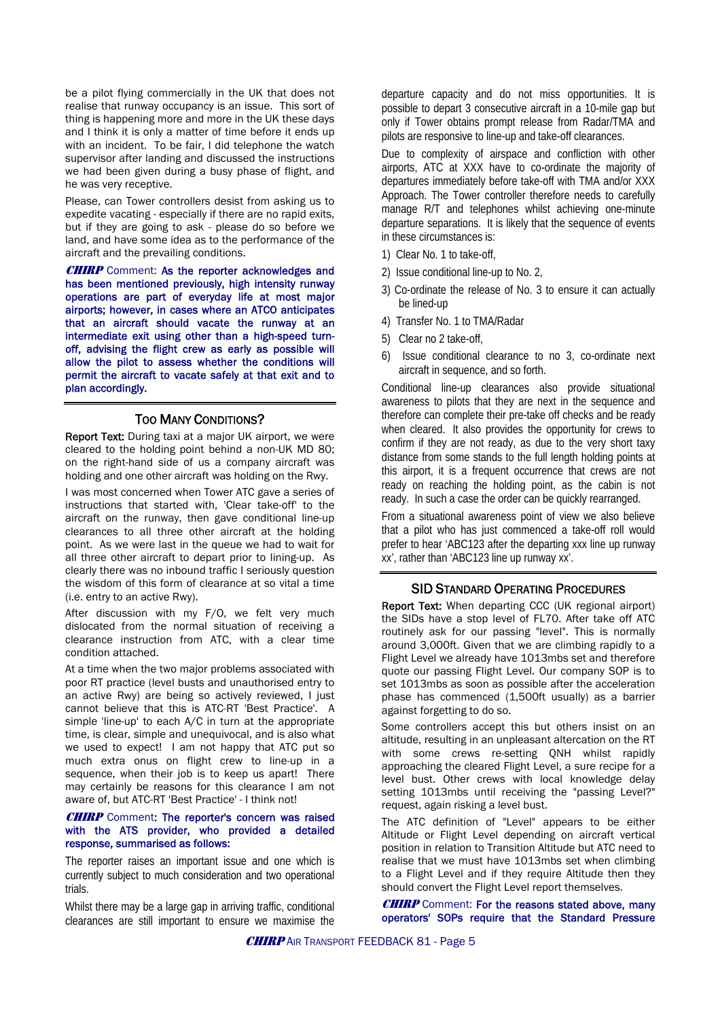be a pilot flying commercially in the UK that does not realise that runway occupancy is an issue. This sort of thing is happening more and more in the UK these days and I think it is only a matter of time before it ends up with an incident. To be fair, I did telephone the watch supervisor after landing and discussed the instructions we had been given during a busy phase of flight, and he was very receptive.

Please, can Tower controllers desist from asking us to expedite vacating - especially if there are no rapid exits, but if they are going to ask - please do so before we land, and have some idea as to the performance of the aircraft and the prevailing conditions.

**CHIRP** Comment: As the reporter acknowledges and has been mentioned previously, high intensity runway operations are part of everyday life at most major airports; however, in cases where an ATCO anticipates that an aircraft should vacate the runway at an intermediate exit using other than a high-speed turnoff, advising the flight crew as early as possible will allow the pilot to assess whether the conditions will permit the aircraft to vacate safely at that exit and to plan accordingly.

#### TOO MANY CONDITIONS?

Report Text: During taxi at a major UK airport, we were cleared to the holding point behind a non-UK MD 80; on the right-hand side of us a company aircraft was holding and one other aircraft was holding on the Rwy.

I was most concerned when Tower ATC gave a series of instructions that started with, 'Clear take-off' to the aircraft on the runway, then gave conditional line-up clearances to all three other aircraft at the holding point. As we were last in the queue we had to wait for all three other aircraft to depart prior to lining-up. As clearly there was no inbound traffic I seriously question the wisdom of this form of clearance at so vital a time (i.e. entry to an active Rwy).

After discussion with my F/O, we felt very much dislocated from the normal situation of receiving a clearance instruction from ATC, with a clear time condition attached.

At a time when the two major problems associated with poor RT practice (level busts and unauthorised entry to an active Rwy) are being so actively reviewed, I just cannot believe that this is ATC-RT 'Best Practice'. A simple 'line-up' to each A/C in turn at the appropriate time, is clear, simple and unequivocal, and is also what we used to expect! I am not happy that ATC put so much extra onus on flight crew to line-up in a sequence, when their job is to keep us apart! There may certainly be reasons for this clearance I am not aware of, but ATC-RT 'Best Practice' - I think not!

#### **CHIRP** Comment: The reporter's concern was raised with the ATS provider, who provided a detailed response, summarised as follows:

The reporter raises an important issue and one which is currently subject to much consideration and two operational trials.

Whilst there may be a large gap in arriving traffic, conditional clearances are still important to ensure we maximise the departure capacity and do not miss opportunities. It is possible to depart 3 consecutive aircraft in a 10-mile gap but only if Tower obtains prompt release from Radar/TMA and pilots are responsive to line-up and take-off clearances.

Due to complexity of airspace and confliction with other airports, ATC at XXX have to co-ordinate the majority of departures immediately before take-off with TMA and/or XXX Approach. The Tower controller therefore needs to carefully manage R/T and telephones whilst achieving one-minute departure separations. It is likely that the sequence of events in these circumstances is:

- 1) Clear No. 1 to take-off,
- 2) Issue conditional line-up to No. 2,
- 3) Co-ordinate the release of No. 3 to ensure it can actually be lined-up
- 4) Transfer No. 1 to TMA/Radar
- 5) Clear no 2 take-off,
- 6) Issue conditional clearance to no 3, co-ordinate next aircraft in sequence, and so forth.

Conditional line-up clearances also provide situational awareness to pilots that they are next in the sequence and therefore can complete their pre-take off checks and be ready when cleared. It also provides the opportunity for crews to confirm if they are not ready, as due to the very short taxy distance from some stands to the full length holding points at this airport, it is a frequent occurrence that crews are not ready on reaching the holding point, as the cabin is not ready. In such a case the order can be quickly rearranged.

From a situational awareness point of view we also believe that a pilot who has just commenced a take-off roll would prefer to hear 'ABC123 after the departing xxx line up runway xx', rather than 'ABC123 line up runway xx'.

#### SID STANDARD OPERATING PROCEDURES

Report Text: When departing CCC (UK regional airport) the SIDs have a stop level of FL70. After take off ATC routinely ask for our passing "level". This is normally around 3,000ft. Given that we are climbing rapidly to a Flight Level we already have 1013mbs set and therefore quote our passing Flight Level. Our company SOP is to set 1013mbs as soon as possible after the acceleration phase has commenced (1,500ft usually) as a barrier against forgetting to do so.

Some controllers accept this but others insist on an altitude, resulting in an unpleasant altercation on the RT with some crews re-setting QNH whilst rapidly approaching the cleared Flight Level, a sure recipe for a level bust. Other crews with local knowledge delay setting 1013mbs until receiving the "passing Level?" request, again risking a level bust.

The ATC definition of "Level" appears to be either Altitude or Flight Level depending on aircraft vertical position in relation to Transition Altitude but ATC need to realise that we must have 1013mbs set when climbing to a Flight Level and if they require Altitude then they should convert the Flight Level report themselves.

**CHIRP** Comment: For the reasons stated above, many operators' SOPs require that the Standard Pressure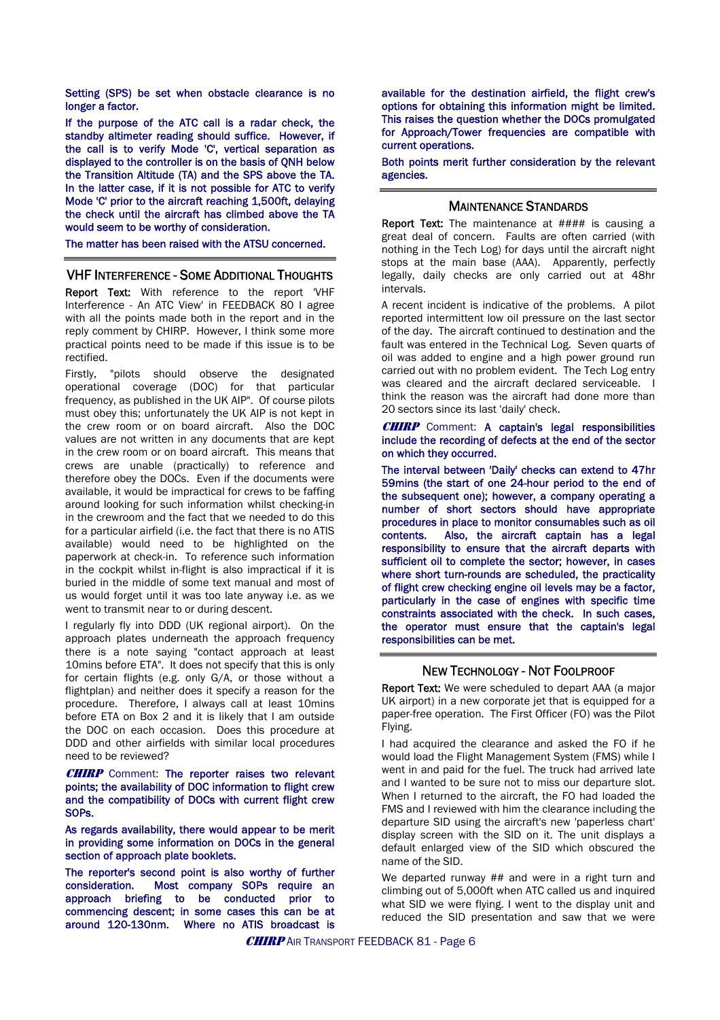Setting (SPS) be set when obstacle clearance is no longer a factor.

If the purpose of the ATC call is a radar check, the standby altimeter reading should suffice. However, if the call is to verify Mode 'C', vertical separation as displayed to the controller is on the basis of QNH below the Transition Altitude (TA) and the SPS above the TA. In the latter case, if it is not possible for ATC to verify Mode 'C' prior to the aircraft reaching 1,500ft, delaying the check until the aircraft has climbed above the TA would seem to be worthy of consideration.

The matter has been raised with the ATSU concerned.

#### VHF INTERFERENCE - SOME ADDITIONAL THOUGHTS

Report Text: With reference to the report 'VHF Interference - An ATC View' in FEEDBACK 80 I agree with all the points made both in the report and in the reply comment by CHIRP. However, I think some more practical points need to be made if this issue is to be rectified.

Firstly, "pilots should observe the designated operational coverage (DOC) for that particular frequency, as published in the UK AIP". Of course pilots must obey this; unfortunately the UK AIP is not kept in the crew room or on board aircraft. Also the DOC values are not written in any documents that are kept in the crew room or on board aircraft. This means that crews are unable (practically) to reference and therefore obey the DOCs. Even if the documents were available, it would be impractical for crews to be faffing around looking for such information whilst checking-in in the crewroom and the fact that we needed to do this for a particular airfield (i.e. the fact that there is no ATIS available) would need to be highlighted on the paperwork at check-in. To reference such information in the cockpit whilst in-flight is also impractical if it is buried in the middle of some text manual and most of us would forget until it was too late anyway i.e. as we went to transmit near to or during descent.

I regularly fly into DDD (UK regional airport). On the approach plates underneath the approach frequency there is a note saying "contact approach at least 10mins before ETA". It does not specify that this is only for certain flights (e.g. only G/A, or those without a flightplan) and neither does it specify a reason for the procedure. Therefore, I always call at least 10mins before ETA on Box 2 and it is likely that I am outside the DOC on each occasion. Does this procedure at DDD and other airfields with similar local procedures need to be reviewed?

**CHIRP** Comment: The reporter raises two relevant points; the availability of DOC information to flight crew and the compatibility of DOCs with current flight crew SOPs.

As regards availability, there would appear to be merit in providing some information on DOCs in the general section of approach plate booklets.

The reporter's second point is also worthy of further consideration. Most company SOPs require an approach briefing to be conducted prior to commencing descent; in some cases this can be at around 120-130nm. Where no ATIS broadcast is available for the destination airfield, the flight crew's options for obtaining this information might be limited. This raises the question whether the DOCs promulgated for Approach/Tower frequencies are compatible with current operations.

Both points merit further consideration by the relevant agencies.

#### MAINTENANCE STANDARDS

Report Text: The maintenance at #### is causing a great deal of concern. Faults are often carried (with nothing in the Tech Log) for days until the aircraft night stops at the main base (AAA). Apparently, perfectly legally, daily checks are only carried out at 48hr intervals.

A recent incident is indicative of the problems. A pilot reported intermittent low oil pressure on the last sector of the day. The aircraft continued to destination and the fault was entered in the Technical Log. Seven quarts of oil was added to engine and a high power ground run carried out with no problem evident. The Tech Log entry was cleared and the aircraft declared serviceable. I think the reason was the aircraft had done more than 20 sectors since its last 'daily' check.

#### **CHIRP** Comment: A captain's legal responsibilities include the recording of defects at the end of the sector on which they occurred.

The interval between 'Daily' checks can extend to 47hr 59mins (the start of one 24-hour period to the end of the subsequent one); however, a company operating a number of short sectors should have appropriate procedures in place to monitor consumables such as oil contents. Also, the aircraft captain has a legal responsibility to ensure that the aircraft departs with sufficient oil to complete the sector; however, in cases where short turn-rounds are scheduled, the practicality of flight crew checking engine oil levels may be a factor, particularly in the case of engines with specific time constraints associated with the check. In such cases, the operator must ensure that the captain's legal responsibilities can be met.

#### NEW TECHNOLOGY - NOT FOOLPROOF

Report Text: We were scheduled to depart AAA (a major UK airport) in a new corporate jet that is equipped for a paper-free operation. The First Officer (FO) was the Pilot Flying.

I had acquired the clearance and asked the FO if he would load the Flight Management System (FMS) while I went in and paid for the fuel. The truck had arrived late and I wanted to be sure not to miss our departure slot. When I returned to the aircraft, the FO had loaded the FMS and I reviewed with him the clearance including the departure SID using the aircraft's new 'paperless chart' display screen with the SID on it. The unit displays a default enlarged view of the SID which obscured the name of the SID.

We departed runway ## and were in a right turn and climbing out of 5,000ft when ATC called us and inquired what SID we were flying. I went to the display unit and reduced the SID presentation and saw that we were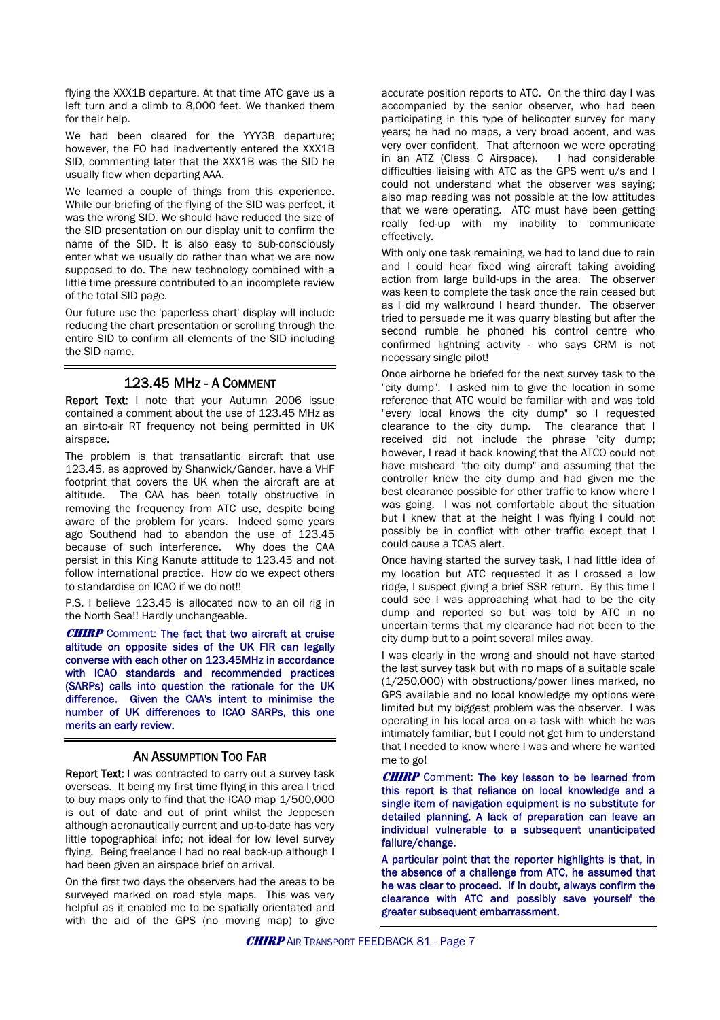flying the XXX1B departure. At that time ATC gave us a left turn and a climb to 8,000 feet. We thanked them for their help.

We had been cleared for the YYY3B departure; however, the FO had inadvertently entered the XXX1B SID, commenting later that the XXX1B was the SID he usually flew when departing AAA.

We learned a couple of things from this experience. While our briefing of the flying of the SID was perfect, it was the wrong SID. We should have reduced the size of the SID presentation on our display unit to confirm the name of the SID. It is also easy to sub-consciously enter what we usually do rather than what we are now supposed to do. The new technology combined with a little time pressure contributed to an incomplete review of the total SID page.

Our future use the 'paperless chart' display will include reducing the chart presentation or scrolling through the entire SID to confirm all elements of the SID including the SID name.

#### 123.45 MHz - A COMMENT

Report Text: I note that your Autumn 2006 issue contained a comment about the use of 123.45 MHz as an air-to-air RT frequency not being permitted in UK airspace.

The problem is that transatlantic aircraft that use 123.45, as approved by Shanwick/Gander, have a VHF footprint that covers the UK when the aircraft are at altitude. The CAA has been totally obstructive in removing the frequency from ATC use, despite being aware of the problem for years. Indeed some years ago Southend had to abandon the use of 123.45 because of such interference. Why does the CAA persist in this King Kanute attitude to 123.45 and not follow international practice. How do we expect others to standardise on ICAO if we do not!!

P.S. I believe 123.45 is allocated now to an oil rig in the North Sea!! Hardly unchangeable.

**CHIRP** Comment: The fact that two aircraft at cruise altitude on opposite sides of the UK FIR can legally converse with each other on 123.45MHz in accordance with ICAO standards and recommended practices (SARPs) calls into question the rationale for the UK difference. Given the CAA's intent to minimise the number of UK differences to ICAO SARPs, this one merits an early review.

#### AN ASSUMPTION TOO FAR

Report Text: I was contracted to carry out a survey task overseas. It being my first time flying in this area I tried to buy maps only to find that the ICAO map 1/500,000 is out of date and out of print whilst the Jeppesen although aeronautically current and up-to-date has very little topographical info; not ideal for low level survey flying. Being freelance I had no real back-up although I had been given an airspace brief on arrival.

On the first two days the observers had the areas to be surveyed marked on road style maps. This was very helpful as it enabled me to be spatially orientated and with the aid of the GPS (no moving map) to give

accurate position reports to ATC. On the third day I was accompanied by the senior observer, who had been participating in this type of helicopter survey for many years; he had no maps, a very broad accent, and was very over confident. That afternoon we were operating in an ATZ (Class C Airspace). I had considerable difficulties liaising with ATC as the GPS went u/s and I could not understand what the observer was saying; also map reading was not possible at the low attitudes that we were operating. ATC must have been getting really fed-up with my inability to communicate effectively.

With only one task remaining, we had to land due to rain and I could hear fixed wing aircraft taking avoiding action from large build-ups in the area. The observer was keen to complete the task once the rain ceased but as I did my walkround I heard thunder. The observer tried to persuade me it was quarry blasting but after the second rumble he phoned his control centre who confirmed lightning activity - who says CRM is not necessary single pilot!

Once airborne he briefed for the next survey task to the "city dump". I asked him to give the location in some reference that ATC would be familiar with and was told "every local knows the city dump" so I requested clearance to the city dump. The clearance that I received did not include the phrase "city dump; however, I read it back knowing that the ATCO could not have misheard "the city dump" and assuming that the controller knew the city dump and had given me the best clearance possible for other traffic to know where I was going. I was not comfortable about the situation but I knew that at the height I was flying I could not possibly be in conflict with other traffic except that I could cause a TCAS alert.

Once having started the survey task, I had little idea of my location but ATC requested it as I crossed a low ridge, I suspect giving a brief SSR return. By this time I could see I was approaching what had to be the city dump and reported so but was told by ATC in no uncertain terms that my clearance had not been to the city dump but to a point several miles away.

I was clearly in the wrong and should not have started the last survey task but with no maps of a suitable scale (1/250,000) with obstructions/power lines marked, no GPS available and no local knowledge my options were limited but my biggest problem was the observer. I was operating in his local area on a task with which he was intimately familiar, but I could not get him to understand that I needed to know where I was and where he wanted me to go!

**CHIRP** Comment: The key lesson to be learned from this report is that reliance on local knowledge and a single item of navigation equipment is no substitute for detailed planning. A lack of preparation can leave an individual vulnerable to a subsequent unanticipated failure/change.

A particular point that the reporter highlights is that, in the absence of a challenge from ATC, he assumed that he was clear to proceed. If in doubt, always confirm the clearance with ATC and possibly save yourself the greater subsequent embarrassment.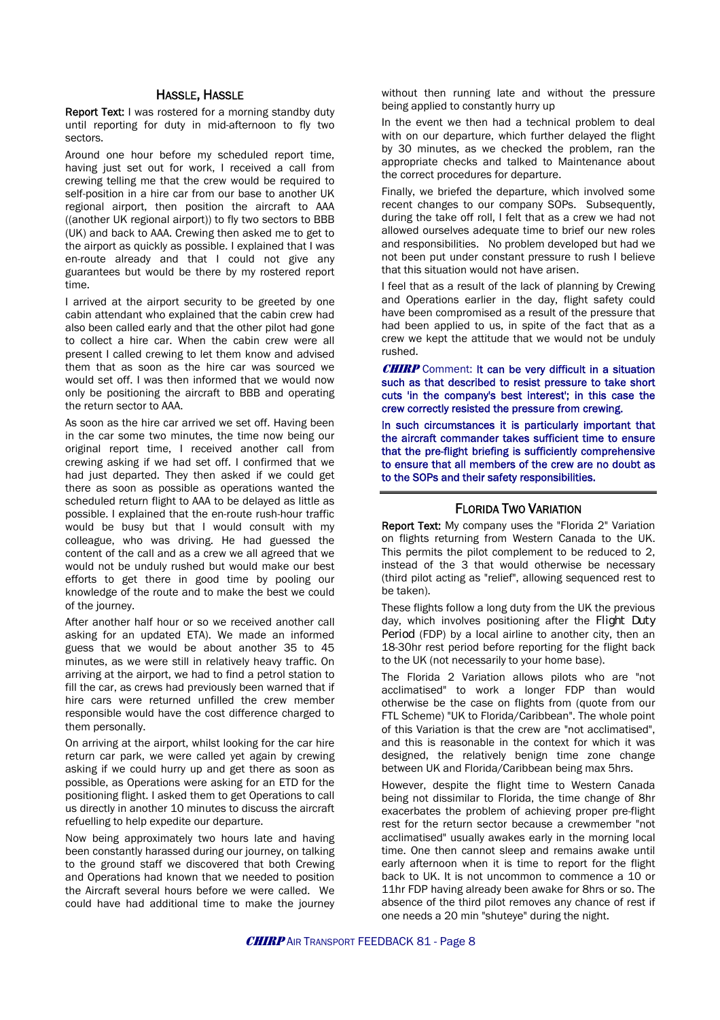#### HASSLE, HASSLE

Report Text: I was rostered for a morning standby duty until reporting for duty in mid-afternoon to fly two sectors.

Around one hour before my scheduled report time, having just set out for work. I received a call from crewing telling me that the crew would be required to self-position in a hire car from our base to another UK regional airport, then position the aircraft to AAA ((another UK regional airport)) to fly two sectors to BBB (UK) and back to AAA. Crewing then asked me to get to the airport as quickly as possible. I explained that I was en-route already and that I could not give any guarantees but would be there by my rostered report time.

I arrived at the airport security to be greeted by one cabin attendant who explained that the cabin crew had also been called early and that the other pilot had gone to collect a hire car. When the cabin crew were all present I called crewing to let them know and advised them that as soon as the hire car was sourced we would set off. I was then informed that we would now only be positioning the aircraft to BBB and operating the return sector to AAA.

As soon as the hire car arrived we set off. Having been in the car some two minutes, the time now being our original report time, I received another call from crewing asking if we had set off. I confirmed that we had just departed. They then asked if we could get there as soon as possible as operations wanted the scheduled return flight to AAA to be delayed as little as possible. I explained that the en-route rush-hour traffic would be busy but that I would consult with my colleague, who was driving. He had guessed the content of the call and as a crew we all agreed that we would not be unduly rushed but would make our best efforts to get there in good time by pooling our knowledge of the route and to make the best we could of the journey.

After another half hour or so we received another call asking for an updated ETA). We made an informed guess that we would be about another 35 to 45 minutes, as we were still in relatively heavy traffic. On arriving at the airport, we had to find a petrol station to fill the car, as crews had previously been warned that if hire cars were returned unfilled the crew member responsible would have the cost difference charged to them personally.

On arriving at the airport, whilst looking for the car hire return car park, we were called yet again by crewing asking if we could hurry up and get there as soon as possible, as Operations were asking for an ETD for the positioning flight. I asked them to get Operations to call us directly in another 10 minutes to discuss the aircraft refuelling to help expedite our departure.

Now being approximately two hours late and having been constantly harassed during our journey, on talking to the ground staff we discovered that both Crewing and Operations had known that we needed to position the Aircraft several hours before we were called. We could have had additional time to make the journey

without then running late and without the pressure being applied to constantly hurry up

In the event we then had a technical problem to deal with on our departure, which further delayed the flight by 30 minutes, as we checked the problem, ran the appropriate checks and talked to Maintenance about the correct procedures for departure.

Finally, we briefed the departure, which involved some recent changes to our company SOPs. Subsequently, during the take off roll, I felt that as a crew we had not allowed ourselves adequate time to brief our new roles and responsibilities. No problem developed but had we not been put under constant pressure to rush I believe that this situation would not have arisen.

I feel that as a result of the lack of planning by Crewing and Operations earlier in the day, flight safety could have been compromised as a result of the pressure that had been applied to us, in spite of the fact that as a crew we kept the attitude that we would not be unduly rushed.

**CHIRP** Comment: It can be very difficult in a situation such as that described to resist pressure to take short cuts 'in the company's best interest'; in this case the crew correctly resisted the pressure from crewing.

In such circumstances it is particularly important that the aircraft commander takes sufficient time to ensure that the pre-flight briefing is sufficiently comprehensive to ensure that all members of the crew are no doubt as to the SOPs and their safety responsibilities.

#### FLORIDA TWO VARIATION

Report Text: My company uses the "Florida 2" Variation on flights returning from Western Canada to the UK. This permits the pilot complement to be reduced to 2, instead of the 3 that would otherwise be necessary (third pilot acting as "relief", allowing sequenced rest to be taken).

These flights follow a long duty from the UK the previous day, which involves positioning after the Flight Duty Period (FDP) by a local airline to another city, then an 18-30hr rest period before reporting for the flight back to the UK (not necessarily to your home base).

The Florida 2 Variation allows pilots who are "not acclimatised" to work a longer FDP than would otherwise be the case on flights from (quote from our FTL Scheme) "UK to Florida/Caribbean". The whole point of this Variation is that the crew are "not acclimatised", and this is reasonable in the context for which it was designed, the relatively benign time zone change between UK and Florida/Caribbean being max 5hrs.

However, despite the flight time to Western Canada being not dissimilar to Florida, the time change of 8hr exacerbates the problem of achieving proper pre-flight rest for the return sector because a crewmember "not acclimatised" usually awakes early in the morning local time. One then cannot sleep and remains awake until early afternoon when it is time to report for the flight back to UK. It is not uncommon to commence a 10 or 11hr FDP having already been awake for 8hrs or so. The absence of the third pilot removes any chance of rest if one needs a 20 min "shuteye" during the night.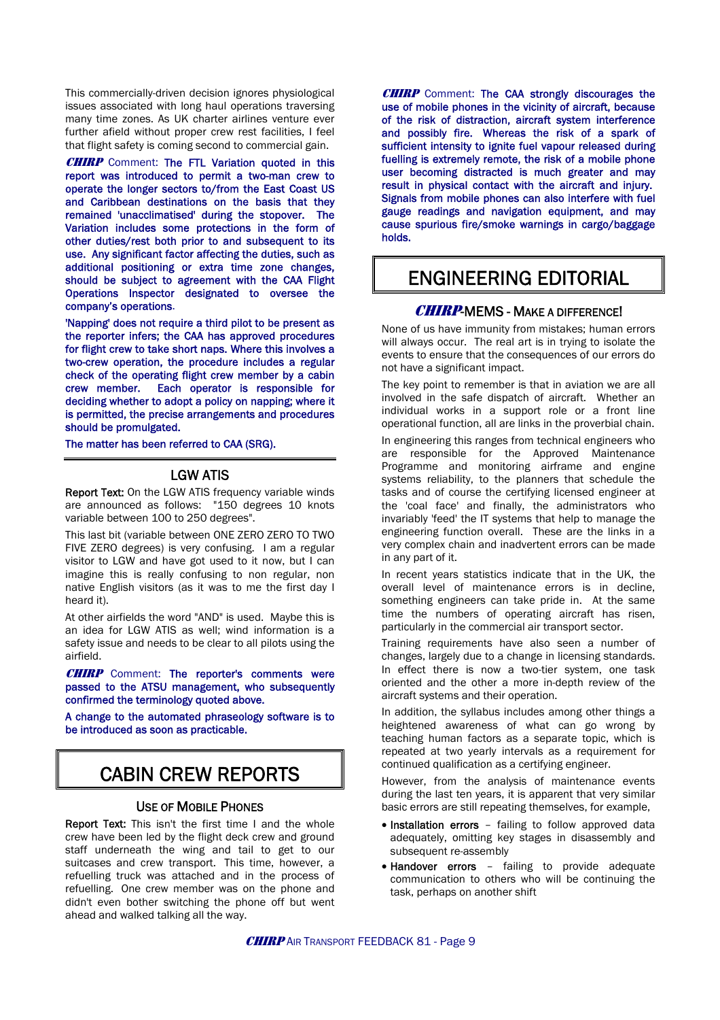This commercially-driven decision ignores physiological issues associated with long haul operations traversing many time zones. As UK charter airlines venture ever further afield without proper crew rest facilities, I feel that flight safety is coming second to commercial gain.

**CHIRP** Comment: The FTL Variation quoted in this report was introduced to permit a two-man crew to operate the longer sectors to/from the East Coast US and Caribbean destinations on the basis that they remained 'unacclimatised' during the stopover. The Variation includes some protections in the form of other duties/rest both prior to and subsequent to its use. Any significant factor affecting the duties, such as additional positioning or extra time zone changes, should be subject to agreement with the CAA Flight Operations Inspector designated to oversee the company's operations.

'Napping' does not require a third pilot to be present as the reporter infers; the CAA has approved procedures for flight crew to take short naps. Where this involves a two-crew operation, the procedure includes a regular check of the operating flight crew member by a cabin crew member. Each operator is responsible for deciding whether to adopt a policy on napping; where it is permitted, the precise arrangements and procedures should be promulgated.

The matter has been referred to CAA (SRG).

#### LGW ATIS

Report Text: On the LGW ATIS frequency variable winds are announced as follows: "150 degrees 10 knots variable between 100 to 250 degrees".

This last bit (variable between ONE ZERO ZERO TO TWO FIVE ZERO degrees) is very confusing. I am a regular visitor to LGW and have got used to it now, but I can imagine this is really confusing to non regular, non native English visitors (as it was to me the first day I heard it).

At other airfields the word "AND" is used. Maybe this is an idea for LGW ATIS as well; wind information is a safety issue and needs to be clear to all pilots using the airfield.

**CHIRP** Comment: The reporter's comments were passed to the ATSU management, who subsequently confirmed the terminology quoted above.

A change to the automated phraseology software is to be introduced as soon as practicable.

## CABIN CREW REPORTS

#### USE OF MOBILE PHONES

Report Text: This isn't the first time I and the whole crew have been led by the flight deck crew and ground staff underneath the wing and tail to get to our suitcases and crew transport. This time, however, a refuelling truck was attached and in the process of refuelling. One crew member was on the phone and didn't even bother switching the phone off but went ahead and walked talking all the way.

**CHIRP** Comment: The CAA strongly discourages the use of mobile phones in the vicinity of aircraft, because of the risk of distraction, aircraft system interference and possibly fire. Whereas the risk of a spark of sufficient intensity to ignite fuel vapour released during fuelling is extremely remote, the risk of a mobile phone user becoming distracted is much greater and may result in physical contact with the aircraft and injury. Signals from mobile phones can also interfere with fuel gauge readings and navigation equipment, and may cause spurious fire/smoke warnings in cargo/baggage holds.

## ENGINEERING EDITORIAL

#### CHIRP-MEMS - MAKE A DIFFERENCE!

None of us have immunity from mistakes; human errors will always occur. The real art is in trying to isolate the events to ensure that the consequences of our errors do not have a significant impact.

The key point to remember is that in aviation we are all involved in the safe dispatch of aircraft. Whether an individual works in a support role or a front line operational function, all are links in the proverbial chain.

In engineering this ranges from technical engineers who are responsible for the Approved Maintenance Programme and monitoring airframe and engine systems reliability, to the planners that schedule the tasks and of course the certifying licensed engineer at the 'coal face' and finally, the administrators who invariably 'feed' the IT systems that help to manage the engineering function overall. These are the links in a very complex chain and inadvertent errors can be made in any part of it.

In recent years statistics indicate that in the UK, the overall level of maintenance errors is in decline, something engineers can take pride in. At the same time the numbers of operating aircraft has risen, particularly in the commercial air transport sector.

Training requirements have also seen a number of changes, largely due to a change in licensing standards. In effect there is now a two-tier system, one task oriented and the other a more in-depth review of the aircraft systems and their operation.

In addition, the syllabus includes among other things a heightened awareness of what can go wrong by teaching human factors as a separate topic, which is repeated at two yearly intervals as a requirement for continued qualification as a certifying engineer.

However, from the analysis of maintenance events during the last ten years, it is apparent that very similar basic errors are still repeating themselves, for example,

- Installation errors failing to follow approved data adequately, omitting key stages in disassembly and subsequent re-assembly
- Handover errors failing to provide adequate communication to others who will be continuing the task, perhaps on another shift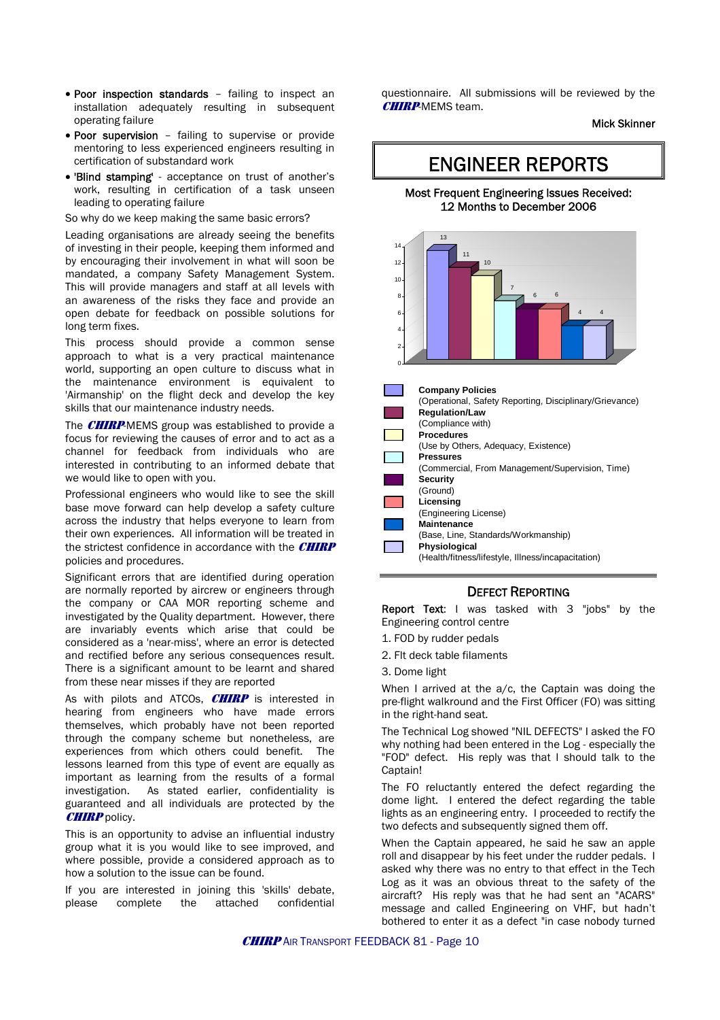- Poor inspection standards failing to inspect an installation adequately resulting in subsequent operating failure
- Poor supervision failing to supervise or provide mentoring to less experienced engineers resulting in certification of substandard work
- 'Blind stamping' acceptance on trust of another's work, resulting in certification of a task unseen leading to operating failure

So why do we keep making the same basic errors?

Leading organisations are already seeing the benefits of investing in their people, keeping them informed and by encouraging their involvement in what will soon be mandated, a company Safety Management System. This will provide managers and staff at all levels with an awareness of the risks they face and provide an open debate for feedback on possible solutions for long term fixes.

This process should provide a common sense approach to what is a very practical maintenance world, supporting an open culture to discuss what in the maintenance environment is equivalent to 'Airmanship' on the flight deck and develop the key skills that our maintenance industry needs.

The **CHIRP**-MEMS group was established to provide a focus for reviewing the causes of error and to act as a channel for feedback from individuals who are interested in contributing to an informed debate that we would like to open with you.

Professional engineers who would like to see the skill base move forward can help develop a safety culture across the industry that helps everyone to learn from their own experiences. All information will be treated in the strictest confidence in accordance with the  $CHIRP$ policies and procedures.

Significant errors that are identified during operation are normally reported by aircrew or engineers through the company or CAA MOR reporting scheme and investigated by the Quality department. However, there are invariably events which arise that could be considered as a 'near-miss', where an error is detected and rectified before any serious consequences result. There is a significant amount to be learnt and shared from these near misses if they are reported

As with pilots and ATCOs,  $CHIRP$  is interested in hearing from engineers who have made errors themselves, which probably have not been reported through the company scheme but nonetheless, are experiences from which others could benefit. The lessons learned from this type of event are equally as important as learning from the results of a formal investigation. As stated earlier, confidentiality is guaranteed and all individuals are protected by the **CHIRP** policy.

This is an opportunity to advise an influential industry group what it is you would like to see improved, and where possible, provide a considered approach as to how a solution to the issue can be found.

If you are interested in joining this 'skills' debate, please complete the attached confidential questionnaire. All submissions will be reviewed by the **CHIRP-MEMS team.** 

Mick Skinner

### ENGINEER REPORTS

#### Most Frequent Engineering Issues Received: 12 Months to December 2006



#### DEFECT REPORTING

Report Text: I was tasked with 3 "jobs" by the Engineering control centre

- 1. FOD by rudder pedals
- 2. Flt deck table filaments
- 3. Dome light

When I arrived at the a/c, the Captain was doing the pre-flight walkround and the First Officer (FO) was sitting in the right-hand seat.

The Technical Log showed "NIL DEFECTS" I asked the FO why nothing had been entered in the Log - especially the "FOD" defect. His reply was that I should talk to the Captain!

The FO reluctantly entered the defect regarding the dome light. I entered the defect regarding the table lights as an engineering entry. I proceeded to rectify the two defects and subsequently signed them off.

When the Captain appeared, he said he saw an apple roll and disappear by his feet under the rudder pedals. I asked why there was no entry to that effect in the Tech Log as it was an obvious threat to the safety of the aircraft? His reply was that he had sent an "ACARS" message and called Engineering on VHF, but hadn't bothered to enter it as a defect "in case nobody turned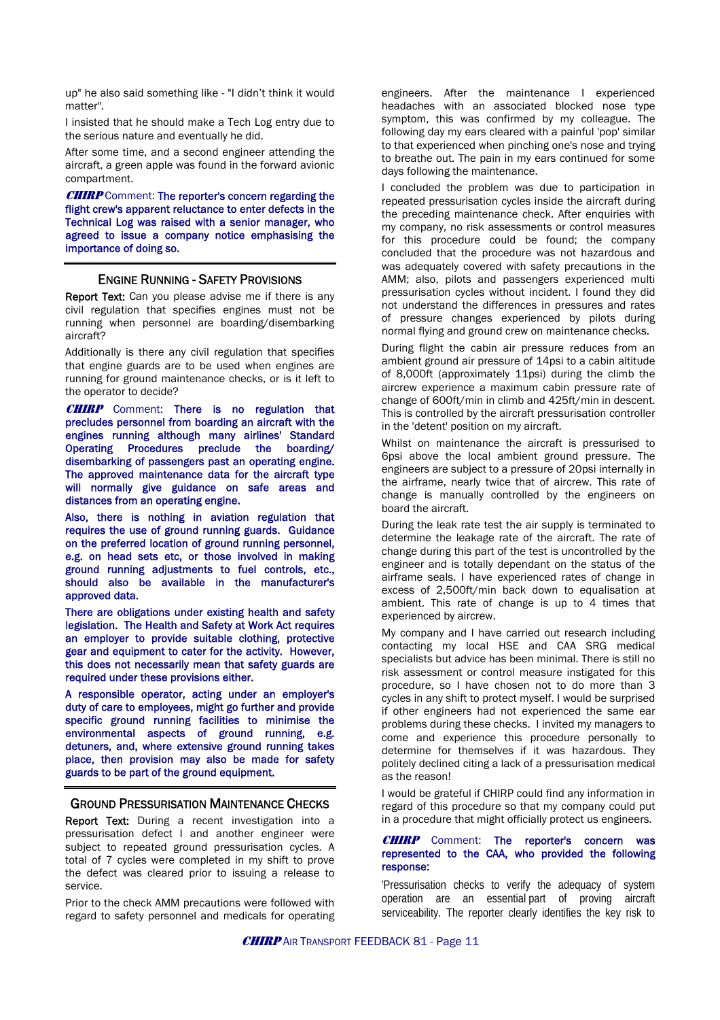up" he also said something like - "I didn't think it would matter".

I insisted that he should make a Tech Log entry due to the serious nature and eventually he did.

After some time, and a second engineer attending the aircraft, a green apple was found in the forward avionic compartment.

**CHIRP** Comment: The reporter's concern regarding the flight crew's apparent reluctance to enter defects in the Technical Log was raised with a senior manager, who agreed to issue a company notice emphasising the importance of doing so.

#### ENGINE RUNNING - SAFETY PROVISIONS

Report Text: Can you please advise me if there is any civil regulation that specifies engines must not be running when personnel are boarding/disembarking aircraft?

Additionally is there any civil regulation that specifies that engine guards are to be used when engines are running for ground maintenance checks, or is it left to the operator to decide?

**CHIRP** Comment: There is no regulation that precludes personnel from boarding an aircraft with the engines running although many airlines' Standard Operating Procedures preclude the boarding/ disembarking of passengers past an operating engine. The approved maintenance data for the aircraft type will normally give guidance on safe areas and distances from an operating engine.

Also, there is nothing in aviation regulation that requires the use of ground running guards. Guidance on the preferred location of ground running personnel, e.g. on head sets etc, or those involved in making ground running adjustments to fuel controls, etc., should also be available in the manufacturer's approved data.

There are obligations under existing health and safety legislation. The Health and Safety at Work Act requires an employer to provide suitable clothing, protective gear and equipment to cater for the activity. However, this does not necessarily mean that safety guards are required under these provisions either.

A responsible operator, acting under an employer's duty of care to employees, might go further and provide specific ground running facilities to minimise the environmental aspects of ground running, e.g. detuners, and, where extensive ground running takes place, then provision may also be made for safety guards to be part of the ground equipment.

#### GROUND PRESSURISATION MAINTENANCE CHECKS

Report Text: During a recent investigation into a pressurisation defect I and another engineer were subject to repeated ground pressurisation cycles. A total of 7 cycles were completed in my shift to prove the defect was cleared prior to issuing a release to service.

Prior to the check AMM precautions were followed with regard to safety personnel and medicals for operating engineers. After the maintenance I experienced headaches with an associated blocked nose type symptom, this was confirmed by my colleague. The following day my ears cleared with a painful 'pop' similar to that experienced when pinching one's nose and trying to breathe out. The pain in my ears continued for some days following the maintenance.

I concluded the problem was due to participation in repeated pressurisation cycles inside the aircraft during the preceding maintenance check. After enquiries with my company, no risk assessments or control measures for this procedure could be found; the company concluded that the procedure was not hazardous and was adequately covered with safety precautions in the AMM; also, pilots and passengers experienced multi pressurisation cycles without incident. I found they did not understand the differences in pressures and rates of pressure changes experienced by pilots during normal flying and ground crew on maintenance checks.

During flight the cabin air pressure reduces from an ambient ground air pressure of 14psi to a cabin altitude of 8,000ft (approximately 11psi) during the climb the aircrew experience a maximum cabin pressure rate of change of 600ft/min in climb and 425ft/min in descent. This is controlled by the aircraft pressurisation controller in the 'detent' position on my aircraft.

Whilst on maintenance the aircraft is pressurised to 6psi above the local ambient ground pressure. The engineers are subject to a pressure of 20psi internally in the airframe, nearly twice that of aircrew. This rate of change is manually controlled by the engineers on board the aircraft.

During the leak rate test the air supply is terminated to determine the leakage rate of the aircraft. The rate of change during this part of the test is uncontrolled by the engineer and is totally dependant on the status of the airframe seals. I have experienced rates of change in excess of 2,500ft/min back down to equalisation at ambient. This rate of change is up to 4 times that experienced by aircrew.

My company and I have carried out research including contacting my local HSE and CAA SRG medical specialists but advice has been minimal. There is still no risk assessment or control measure instigated for this procedure, so I have chosen not to do more than 3 cycles in any shift to protect myself. I would be surprised if other engineers had not experienced the same ear problems during these checks. I invited my managers to come and experience this procedure personally to determine for themselves if it was hazardous. They politely declined citing a lack of a pressurisation medical as the reason!

I would be grateful if CHIRP could find any information in regard of this procedure so that my company could put in a procedure that might officially protect us engineers.

#### **CHIRP** Comment: The reporter's concern was represented to the CAA, who provided the following response:

'Pressurisation checks to verify the adequacy of system operation are an essential part of proving aircraft serviceability. The reporter clearly identifies the key risk to